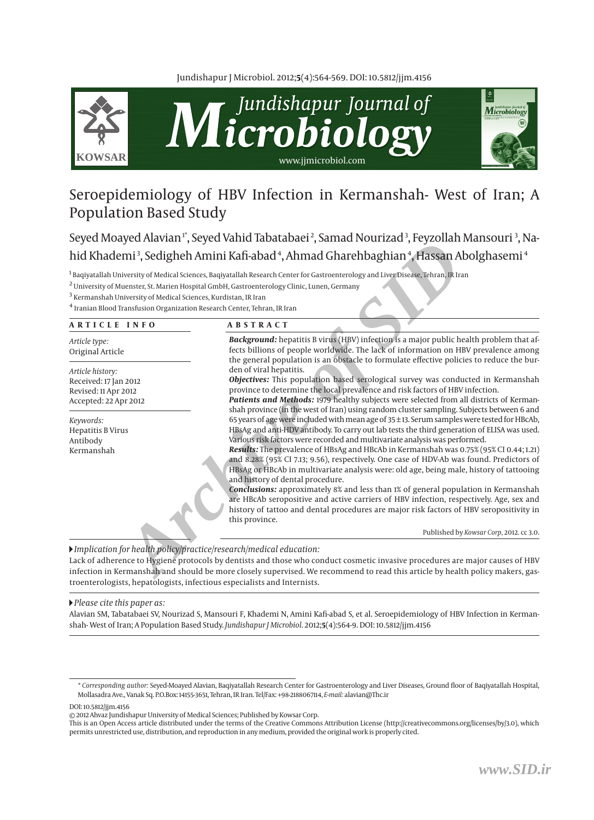Jundishapur J Microbiol. 2012;**5**(4):564-569. DOI: 10.5812/jjm.4156



# Seroepidemiology of HBV Infection in Kermanshah- West of Iran; A Population Based Study

Seyed Moayed Alavian'\*, Seyed Vahid Tabatabaei<sup>2</sup>, Samad Nourizad<sup>3</sup>, Feyzollah Mansouri <sup>3</sup>, Nahid Khademi<sup>3</sup>, Sedigheh Amini Kafi-abad<sup>4</sup>, Ahmad Gharehbaghian<sup>4</sup>, Hassan Abolghasemi<sup>4</sup>

<sup>1</sup> Baqiyatallah University of Medical Sciences, Baqiyatallah Research Center for Gastroenterology and Liver Disease, Tehran, IR Iran

 $^2$  University of Muenster, St. Marien Hospital GmbH, Gastroenterology Clinic, Lunen, Germany

 $^3$  Kermanshah University of Medical Sciences, Kurdistan, IR Iran

4 Iranian Blood Transfusion Organization Research Center, Tehran, IR Iran

#### **ARTICLE INFO ABSTRACT**

*Article type:* Original Article

*Article history:* Received: 17 Jan 2012 Revised: 11 Apr 2012 Accepted: 22 Apr 2012

*Keywords:* Hepatitis B Virus Antibody Kermanshah

*Background:* hepatitis B virus (HBV) infection is a major public health problem that affects billions of people worldwide. The lack of information on HBV prevalence among the general population is an obstacle to formulate effective policies to reduce the burden of viral hepatitis.

*Objectives:* This population based serological survey was conducted in Kermanshah province to determine the local prevalence and risk factors of HBV infection.

**Archives the SIDRE CONSERVIGE CONSERVATION**<br> **Archives the SIDRE CONSERVATION CONSERVATION CONSERVATION**<br> **Archives of SMAGE SIDRE CONSERVATIONS CONSERVATION**<br> **Archives of Medicial Sciences Kurdistan, IR Income understan** *Patients and Methods:* 1979 healthy subjects were selected from all districts of Kermanshah province (in the west of Iran) using random cluster sampling. Subjects between 6 and 65 years of age were included with mean age of 35 ± 13. Serum samples were tested for HBcAb, HBsAg and anti-HDV antibody. To carry out lab tests the third generation of ELISA was used. Various risk factors were recorded and multivariate analysis was performed.

*Results:* The prevalence of HBsAg and HBcAb in Kermanshah was 0.75% (95% CI 0.44; 1.21) and 8.28% (95% CI 7.13; 9.56), respectively. One case of HDV-Ab was found. Predictors of HBsAg or HBcAb in multivariate analysis were: old age, being male, history of tattooing and history of dental procedure.

*Conclusions:* approximately 8% and less than 1% of general population in Kermanshah are HBcAb seropositive and active carriers of HBV infection, respectively. Age, sex and history of tattoo and dental procedures are major risk factors of HBV seropositivity in this province.

Published by *Kowsar Corp,* 2012. cc 3.0.

*Implication for health policy/practice/research/medical education:*

Lack of adherence to Hygiene protocols by dentists and those who conduct cosmetic invasive procedures are major causes of HBV infection in Kermanshah and should be more closely supervised. We recommend to read this article by health policy makers, gastroenterologists, hepatologists, infectious especialists and Internists.

*Please cite this paper as:* 

Alavian SM, Tabatabaei SV, Nourizad S, Mansouri F, Khademi N, Amini Kafi-abad S, et al. Seroepidemiology of HBV Infection in Kermanshah- West of Iran; A Population Based Study. *Jundishapur J Microbiol*. 2012;**5**(4):564-9. DOI: 10.5812/jjm.4156

DOI: 10.5812/jjm.4156

© 2012[Ahvaz Jundishapur University of Medical Sciences;](http://www.ajums.ac.ir/) Published by [Kowsar](http://www.kowsarcorb.com) Corp.

This is an Open Access article distributed under the terms of the Creative Commons Attribution License (http://creativecommons.org/licenses/by/3.0), which permits unrestricted use, distribution, and reproduction in any medium, provided the original work is properly cited.

<sup>\*</sup> *Corresponding author:* Seyed-Moayed Alavian, Baqiyatallah Research Center for Gastroenterology and Liver Diseases, Ground floor of Baqiyatallah Hospital, Mollasadra Ave., Vanak Sq. P.O.Box: 14155-3651, Tehran, IR Iran. Tel/Fax: +98-2188067114, *E-mail:* alavian@Thc.ir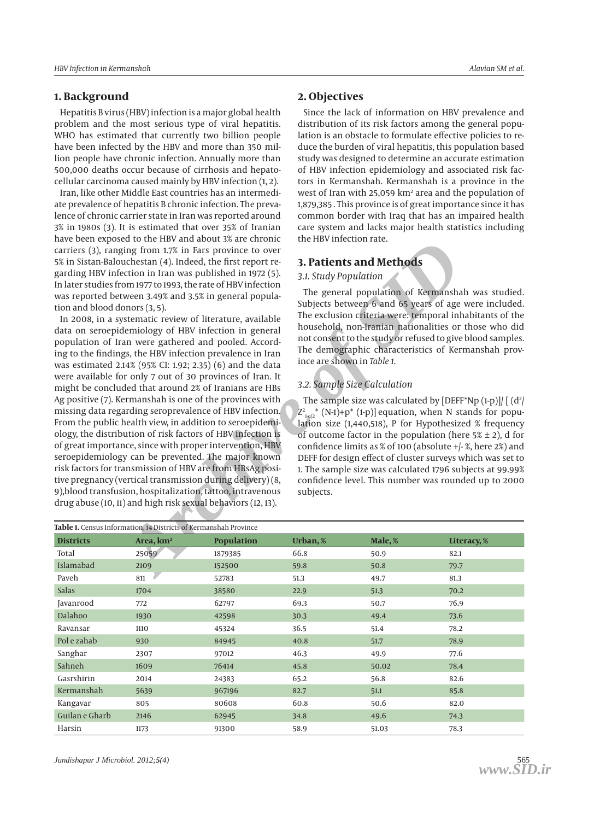## **1. Background**

Hepatitis B virus (HBV) infection is a major global health problem and the most serious type of viral hepatitis. WHO has estimated that currently two billion people have been infected by the HBV and more than 350 mil lion people have chronic infection. Annually more than 500,000 deaths occur because of cirrhosis and hepato cellular carcinoma caused mainly by HBV infection (1, 2).

Iran, like other Middle East countries has an intermedi ate prevalence of hepatitis B chronic infection. The preva lence of chronic carrier state in Iran was reported around 3% in 1980s (3). It is estimated that over 35% of Iranian have been exposed to the HBV and about 3% are chronic carriers (3), ranging from 1.7% in Fars province to over 5% in Sistan-Balouchestan (4). Indeed, the first report re garding HBV infection in Iran was published in 1972 (5). In later studies from 1977 to 1993, the rate of HBV infection was reported between 3.49% and 3.5% in general popula tion and blood donors (3, 5).

Example from a move and a solution of the first report to the move and Methods<br>
aring from 1.7% in Fars province to over<br>
action in Iran was published in 1972 (5).<br>
2. Eudol Population of Remnanshes<br>
orents and 3.5% in gen In 2008, in a systematic review of literature, available data on seroepidemiology of HBV infection in general population of Iran were gathered and pooled. Accord ing to the findings, the HBV infection prevalence in Iran was estimated 2.14% (95% CI: 1.92; 2.35) (6) and the data were available for only 7 out of 30 provinces of Iran. It might be concluded that around 2% of Iranians are HBs Ag positive (7). Kermanshah is one of the provinces with missing data regarding seroprevalence of HBV infection. From the public health view, in addition to seroepidemi olog y, the distribution of risk factors of HBV infection is of great importance, since with proper intervention, HBV seroepidemiology can be prevented. The major known risk factors for transmission of HBV are from HBsAg posi tive pregnancy (vertical transmission during delivery) (8, 9),blood transfusion, hospitalization, tattoo, intravenous drug abuse (10, 11) and high risk sexual behaviors (12, 13).

## **2. Objectives**

Since the lack of information on HBV prevalence and distribution of its risk factors among the general popu lation is an obstacle to formulate effective policies to re duce the burden of viral hepatitis, this population based study was designed to determine an accurate estimation of HBV infection epidemiology and associated risk fac tors in Kermanshah. Kermanshah is a province in the west of Iran with 25,059 km <sup>2</sup> area and the population of 1,879,385 . This province is of great importance since it has common border with Iraq that has an impaired health care system and lacks major health statistics including the HBV infection rate.

## **3. Patients and Methods**

## *3.1. Study Population*

The general population of Kermanshah was studied. Subjects between 6 and 65 years of age were included. The exclusion criteria were: temporal inhabitants of the household, non-Iranian nationalities or those who did not consent to the study or refused to give blood samples. The demographic characteristics of Kermanshah province are shown in *Table 1*.

## *3.2. Sample Size Calculation*

The sample size was calculated by [DEFF\*Np (1-p)]/ [  $(d<sup>2</sup>)$  $Z^2_{1\text{-}u/2}$  (N-1)+p\* (1-p)] equation, when N stands for population size (1,440,518), P for Hypothesized % frequency of outcome factor in the population (here  $5\% \pm 2$ ), d for confidence limits as % of 100 (absolute +/- %, here 2%) and DEFF for design effect of cluster surveys which was set to 1. The sample size was calculated 1796 subjects at 99.99% confidence level. This number was rounded up to 2000 subjects.

| Table 1. Census Information, 14 Districts of Kermanshah Province |                       |                   |          |         |             |
|------------------------------------------------------------------|-----------------------|-------------------|----------|---------|-------------|
| <b>Districts</b>                                                 | Area, km <sup>2</sup> | <b>Population</b> | Urban, % | Male, % | Literacy, % |
| Total                                                            | 25059                 | 1879385           | 66.8     | 50.9    | 82.1        |
| Islamabad                                                        | 2109                  | 152500            | 59.8     | 50.8    | 79.7        |
| Paveh                                                            | 811                   | 52783             | 51.3     | 49.7    | 81.3        |
| Salas                                                            | 1704                  | 38580             | 22.9     | 51.3    | 70.2        |
| Javanrood                                                        | 772                   | 62797             | 69.3     | 50.7    | 76.9        |
| Dalahoo                                                          | 1930                  | 42598             | 30.3     | 49.4    | 73.6        |
| Ravansar                                                         | 1110                  | 45324             | 36.5     | 51.4    | 78.2        |
| Pol e zahab                                                      | 930                   | 84945             | 40.8     | 51.7    | 78.9        |
| Sanghar                                                          | 2307                  | 97012             | 46.3     | 49.9    | 77.6        |
| Sahneh                                                           | 1609                  | 76414             | 45.8     | 50.02   | 78.4        |
| Gasrshirin                                                       | 2014                  | 24383             | 65.2     | 56.8    | 82.6        |
| Kermanshah                                                       | 5639                  | 967196            | 82.7     | 51.1    | 85.8        |
| Kangavar                                                         | 805                   | 80608             | 60.8     | 50.6    | 82.0        |
| Guilan e Gharb                                                   | 2146                  | 62945             | 34.8     | 49.6    | 74.3        |
| Harsin                                                           | 1173                  | 91300             | 58.9     | 51.03   | 78.3        |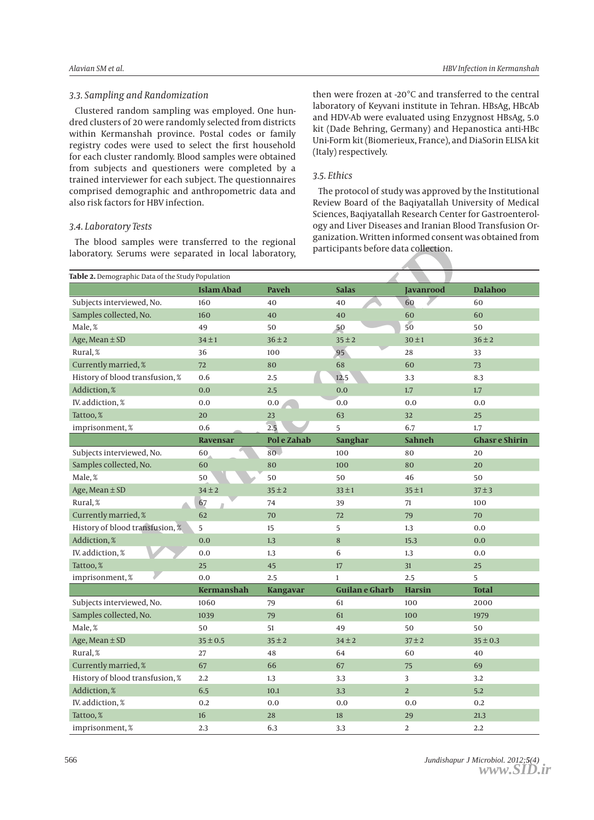#### *3.3. Sampling and Randomization*

Clustered random sampling was employed. One hun dred clusters of 20 were randomly selected from districts within Kermanshah province. Postal codes or family registry codes were used to select the first household for each cluster randomly. Blood samples were obtained from subjects and questioners were completed by a trained interviewer for each subject. The questionnaires comprised demographic and anthropometric data and also risk factors for HBV infection.

#### *3.4. Laboratory Tests*

The blood samples were transferred to the regional laborator y. Serums were separated in local laborator y, then were frozen at -20°C and transferred to the central laboratory of Keyvani institute in Tehran. HBsAg, HBcAb and HDV-Ab were evaluated using Enzygnost HBsAg, 5.0 kit (Dade Behring, Germany) and Hepanostica anti-HBc Uni-Form kit (Biomerieux, France), and DiaSorin ELISA kit (Italy) respectively.

#### *3.5. Ethics*

The protocol of study was approved by the Institutional Review Board of the Baqiyatallah University of Medical Sciences, Baqiyatallah Research Center for Gastroenterol ogy and Liver Diseases and Iranian Blood Transfusion Or ganization. Written informed consent was obtained from participants before data collection.

| The blood samples were transferred to the regional<br>participants before data collection.<br>laboratory. Serums were separated in local laboratory, |                   |                 |                       |                  |                      |  |
|------------------------------------------------------------------------------------------------------------------------------------------------------|-------------------|-----------------|-----------------------|------------------|----------------------|--|
| Table 2. Demographic Data of the Study Population                                                                                                    |                   |                 |                       |                  |                      |  |
|                                                                                                                                                      | <b>Islam Abad</b> | <b>Paveh</b>    | <b>Salas</b>          | <b>Javanrood</b> | <b>Dalahoo</b>       |  |
| Subjects interviewed, No.                                                                                                                            | 160               | 40              | 40                    | 60               | 60                   |  |
| Samples collected, No.                                                                                                                               | 160               | 40              | 40                    | 60               | 60                   |  |
| Male, %                                                                                                                                              | 49                | 50              | 50                    | 50               | 50                   |  |
| Age, Mean $\pm$ SD                                                                                                                                   | $34 \pm 1$        | $36 \pm 2$      | $35 \pm 2$            | $30 \pm 1$       | $36 \pm 2$           |  |
| Rural, %                                                                                                                                             | 36                | 100             | 95                    | 28               | 33                   |  |
| Currently married, %                                                                                                                                 | 72                | 80              | 68                    | 60               | 73                   |  |
| History of blood transfusion, %                                                                                                                      | 0.6               | 2.5             | 12.5                  | 3.3              | 8.3                  |  |
| Addiction, %                                                                                                                                         | 0.0               | 2.5             | 0.0                   | 1.7              | 1.7                  |  |
| IV. addiction, %                                                                                                                                     | 0.0               | 0.0             | 0.0                   | 0.0              | 0.0                  |  |
| Tattoo, %                                                                                                                                            | 20                | 23              | 63                    | 32               | 25                   |  |
| imprisonment, %                                                                                                                                      | 0.6               | 2.5             | 5                     | 6.7              | 1.7                  |  |
|                                                                                                                                                      | Ravensar          | Pol e Zahab     | <b>Sanghar</b>        | <b>Sahneh</b>    | <b>Ghasre Shirin</b> |  |
| Subjects interviewed, No.                                                                                                                            | 60                | 80              | 100                   | 80               | 20                   |  |
| Samples collected, No.                                                                                                                               | 60                | 80              | 100                   | 80               | 20                   |  |
| Male, %                                                                                                                                              | 50                | 50              | 50                    | 46               | 50                   |  |
| Age, Mean $\pm$ SD                                                                                                                                   | $34 \pm 2$        | $35 \pm 2$      | $33 \pm 1$            | $35 \pm 1$       | $37 \pm 3$           |  |
| Rural, %                                                                                                                                             | 67                | 74              | 39                    | 71               | 100                  |  |
| Currently married, %                                                                                                                                 | 62                | 70              | 72                    | 79               | 70                   |  |
| History of blood transfusion, %                                                                                                                      | 5                 | 15              | 5                     | 1.3              | 0.0                  |  |
| Addiction, %                                                                                                                                         | 0.0               | 1.3             | 8                     | 15.3             | 0.0                  |  |
| IV. addiction, %                                                                                                                                     | 0.0               | 1.3             | 6                     | 1.3              | 0.0                  |  |
| Tattoo, %                                                                                                                                            | 25                | 45              | 17                    | 31               | 25                   |  |
| imprisonment, %                                                                                                                                      | 0.0               | 2.5             | $\mathbf{1}$          | 2.5              | 5                    |  |
|                                                                                                                                                      | Kermanshah        | <b>Kangavar</b> | <b>Guilan e Gharb</b> | <b>Harsin</b>    | <b>Total</b>         |  |
| Subjects interviewed, No.                                                                                                                            | 1060              | 79              | 61                    | 100              | 2000                 |  |
| Samples collected, No.                                                                                                                               | 1039              | 79              | 61                    | 100              | 1979                 |  |
| Male, %                                                                                                                                              | 50                | 51              | 49                    | 50               | 50                   |  |
| Age, Mean $\pm$ SD                                                                                                                                   | $35 \pm 0.5$      | $35 \pm 2$      | $34 \pm 2$            | $37 + 2$         | $35 \pm 0.3$         |  |
| Rural, %                                                                                                                                             | 27                | 48              | 64                    | 60               | 40                   |  |
| Currently married, %                                                                                                                                 | 67                | 66              | 67                    | 75               | 69                   |  |
| History of blood transfusion, %                                                                                                                      | 2.2               | 1.3             | 3.3                   | 3                | 3.2                  |  |
| Addiction, %                                                                                                                                         | 6.5               | 10.1            | 3.3                   | $\overline{a}$   | 5.2                  |  |
| IV. addiction, %                                                                                                                                     | 0.2               | 0.0             | 0.0                   | 0.0              | 0.2                  |  |
| Tattoo, %                                                                                                                                            | 16                | 28              | 18                    | 29               | 21.3                 |  |
| imprisonment, %                                                                                                                                      | 2.3               | 6.3             | 3.3                   | 2                | 2.2                  |  |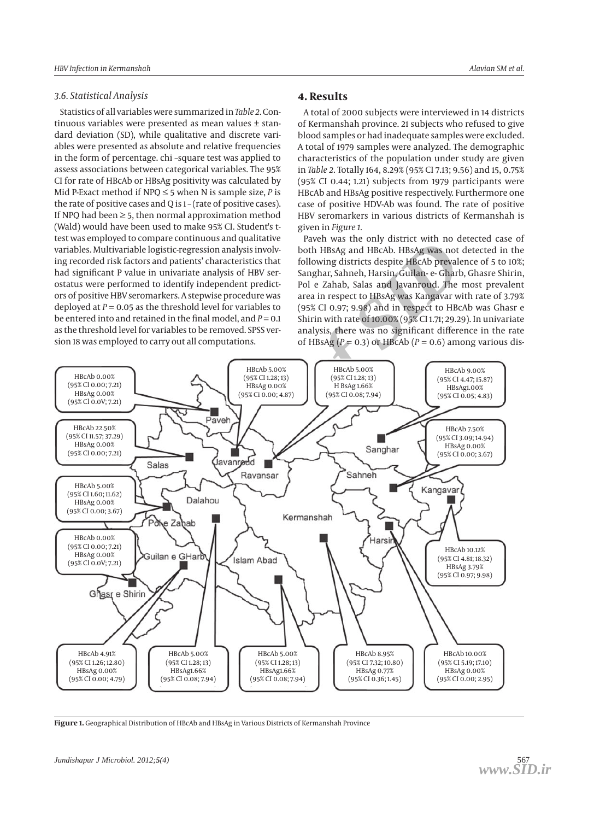#### *3.6. Statistical Analysis*

Statistics of all variables were summarized in *Table 2*. Con tinuous variables were presented as mean values ± stan dard deviation (SD), while qualitative and discrete vari ables were presented as absolute and relative frequencies in the form of percentage. chi –square test was applied to assess associations between categorical variables. The 95% CI for rate of HBcAb or HBsAg positivity was calculated by Mid P-Exact method if NPQ ≤ 5 when N is sample size, *P* is the rate of positive cases and Q is 1 – (rate of positive cases). If NPQ had been  $\geq$  5, then normal approximation method (Wald) would have been used to make 95% CI. Student's ttest was employed to compare continuous and qualitative variables. Multivariable logistic-regression analysis involving recorded risk factors and patients' characteristics that had significant P value in univariate analysis of HBV ser ostatus were performed to identify independent predict ors of positive HBV seromarkers. A stepwise procedure was deployed at *P* = 0.05 as the threshold level for variables to be entered into and retained in the final model, and *P* = 0.1 as the threshold level for variables to be removed. SPSS ver sion 18 was employed to carry out all computations.

## **4. Results**

A total of 2000 subjects were interviewed in 14 districts of Kermanshah province. 21 subjects who refused to give blood samples or had inadequate samples were excluded. A total of 1979 samples were analyzed. The demographic characteristics of the population under study are given in *Table 2* . Totally 164, 8.29% (95% CI 7.13; 9.56) and 15, 0.75% (95% CI 0.44; 1.21) subjects from 1979 participants were HBcAb and HBsAg positive respectively. Furthermore one case of positive HDV-Ab was found. The rate of positive HBV seromarkers in various districts of Kermanshah is given in *Figure 1*.

Paveh was the only district with no detected case of both HBsAg and HBcAb. HBsAg was not detected in the following districts despite HBcAb prevalence of 5 to 10%; Sanghar, Sahneh, Harsin, Guilan- e- Gharb, Ghasre Shirin, Pol e Zahab, Salas and Javanroud. The most prevalent area in respect to HBsAg was Kangavar with rate of 3.79% (95% CI 0.97; 9.98) and in respect to HBcAb was Ghasr e Shirin with rate of 10.00% (95% CI 1.71; 29.29). In univariate analysis, there was no significant difference in the rate of HBsAg ( $P = 0.3$ ) or HBcAb ( $P = 0.6$ ) among various dis-



**Figure 1.** Geographical Distribution of HBcAb and HBsAg in Various Districts of Kermanshah Province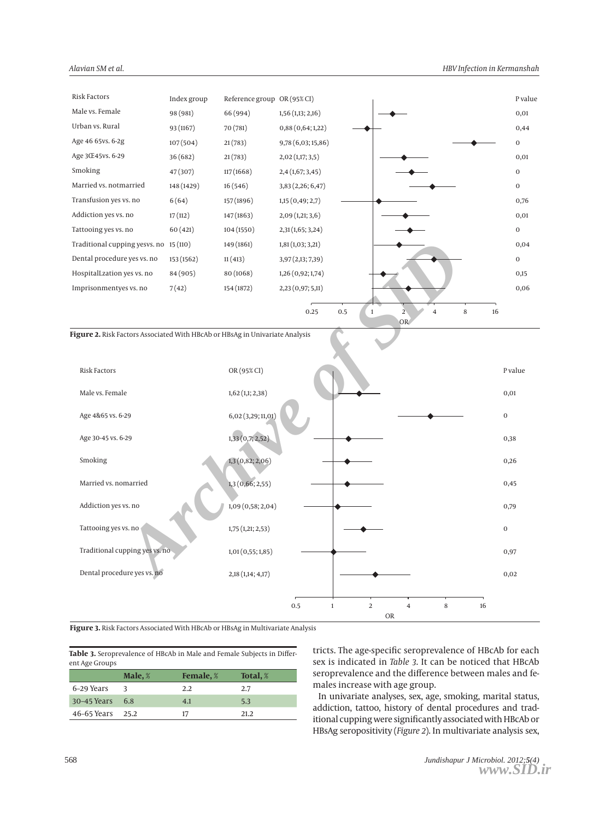

| RISK FACTOLS                   | OK(95% CI)         |     |                            |                |   |    | r value  |
|--------------------------------|--------------------|-----|----------------------------|----------------|---|----|----------|
| Male vs. Female                | $1,62$ (1,1; 2,38) |     |                            |                |   |    | 0,01     |
| Age 4&65 vs. 6-29              | 6,02 (3,29; 11,01) |     |                            |                |   |    | $\bf{0}$ |
| Age 30-45 vs. 6-29             | 1,33(0,7;2,52)     |     |                            |                |   |    | 0,38     |
| Smoking                        | 1,3 (0,82; 2,06)   |     |                            |                |   |    | 0,26     |
| Married vs. nomarried          | 1,3(0,66;2,55)     |     |                            |                |   |    | 0,45     |
| Addiction yes vs. no           | 1,09(0,58;2,04)    |     |                            |                |   |    | 0,79     |
| Tattooing yes vs. no           | 1,75(1,21;2,53)    |     |                            |                |   |    | $\bf{0}$ |
| Traditional cupping yes vs. no | 1,01(0,55;1,85)    |     |                            |                |   |    | 0,97     |
| Dental procedure yes vs. no    | 2,18(1,14; 4,17)   |     |                            |                |   |    | 0,02     |
|                                |                    |     |                            |                |   |    |          |
|                                |                    | 0.5 | $\sqrt{2}$<br>$\mathbf{1}$ | $\overline{4}$ | 8 | 16 |          |
|                                |                    |     |                            | OR             |   |    |          |

Figure 3. Risk Factors Associated With HBcAb or HBsAg in Multivariate Analysis

Table 3. Seroprevalence of HBcAb in Male and Female Subjects in Different Age Groups

|             | Male, $\%$ | <b>Female</b> , % | Total, % |
|-------------|------------|-------------------|----------|
| 6–29 Years  | 3          | 2.2               | 2.7      |
| 30-45 Years | 6.8        | 4.1               | 5.3      |
| 46–65 Years | 25.2       | 17                | 21.2     |

tricts. The age-specific seroprevalence of HBcAb for each sex is indicated in Table 3. It can be noticed that HBcAb seroprevalence and the difference between males and females increase with age group.

In univariate analyses, sex, age, smoking, marital status, addiction, tattoo, history of dental procedures and traditional cupping were significantly associated with HBcAb or HBsAg seropositivity (Figure 2). In multivariate analysis sex,